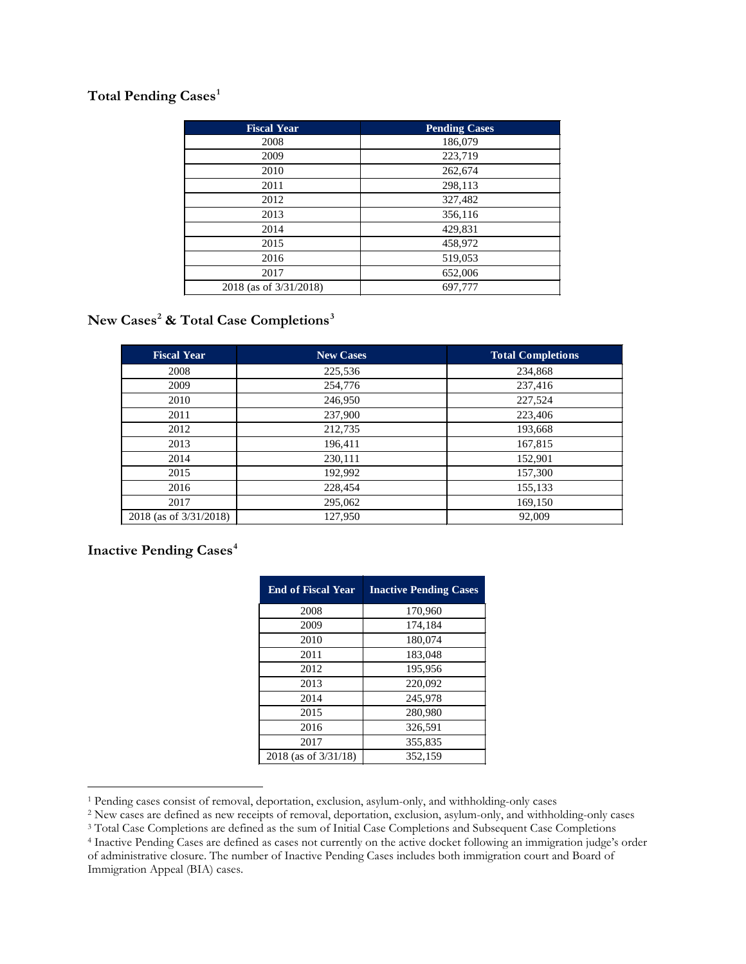# **Total Pending Cases[1](#page-0-0)**

| <b>Fiscal Year</b>     | <b>Pending Cases</b> |
|------------------------|----------------------|
| 2008                   | 186,079              |
| 2009                   | 223,719              |
| 2010                   | 262,674              |
| 2011                   | 298,113              |
| 2012                   | 327,482              |
| 2013                   | 356,116              |
| 2014                   | 429,831              |
| 2015                   | 458,972              |
| 2016                   | 519,053              |
| 2017                   | 652,006              |
| 2018 (as of 3/31/2018) | 697,777              |

# **New Cases[2](#page-0-1) & Total Case Completions[3](#page-0-2)**

| <b>Fiscal Year</b>     | <b>New Cases</b> | <b>Total Completions</b> |
|------------------------|------------------|--------------------------|
| 2008                   | 225,536          | 234,868                  |
| 2009                   | 254,776          | 237,416                  |
| 2010                   | 246,950          | 227,524                  |
| 2011                   | 237,900          | 223,406                  |
| 2012                   | 212,735          | 193,668                  |
| 2013                   | 196,411          | 167,815                  |
| 2014                   | 230,111          | 152,901                  |
| 2015                   | 192,992          | 157,300                  |
| 2016                   | 228,454          | 155,133                  |
| 2017                   | 295,062          | 169,150                  |
| 2018 (as of 3/31/2018) | 127,950          | 92,009                   |

### **Inactive Pending Cases[4](#page-0-3)**

| <b>End of Fiscal Year</b> | <b>Inactive Pending Cases</b> |
|---------------------------|-------------------------------|
| 2008                      | 170,960                       |
| 2009                      | 174,184                       |
| 2010                      | 180,074                       |
| 2011                      | 183,048                       |
| 2012                      | 195,956                       |
| 2013                      | 220,092                       |
| 2014                      | 245,978                       |
| 2015                      | 280,980                       |
| 2016                      | 326,591                       |
| 2017                      | 355,835                       |
| $2018$ (as of $3/31/18$ ) | 352.159                       |

 $\overline{a}$ 

<span id="page-0-1"></span>

<span id="page-0-3"></span><span id="page-0-2"></span>

<span id="page-0-0"></span> $^1$  Pending cases consist of removal, deportation, exclusion, asylum-only, and withholding-only cases  $^2$  New cases are defined as new receipts of removal, deportation, exclusion, asylum-only, and withholding-only cases of administrative closure. The number of Inactive Pending Cases includes both immigration court and Board of Immigration Appeal (BIA) cases.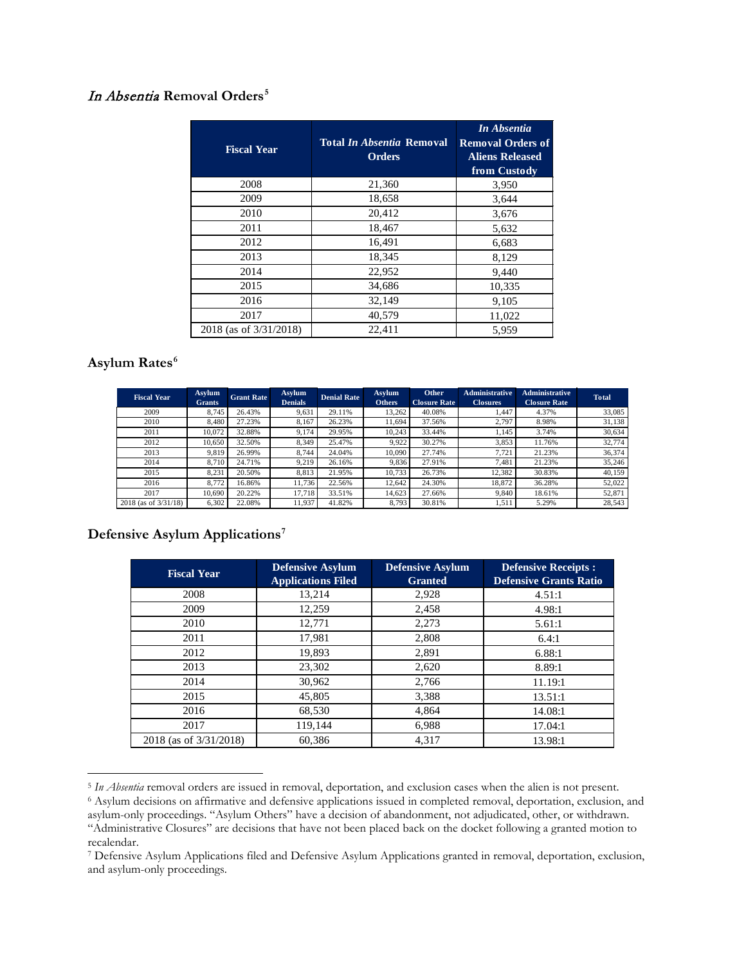#### In Absentia **Removal Orders[5](#page-1-0)**

| <b>Fiscal Year</b>     | <b>Total In Absentia Removal</b><br><b>Orders</b> | In Absentia<br><b>Removal Orders of</b><br><b>Aliens Released</b><br>from Custody |
|------------------------|---------------------------------------------------|-----------------------------------------------------------------------------------|
| 2008                   | 21,360                                            | 3,950                                                                             |
| 2009                   | 18,658                                            | 3,644                                                                             |
| 2010                   | 20,412                                            | 3,676                                                                             |
| 2011                   | 18,467                                            | 5,632                                                                             |
| 2012                   | 16,491                                            | 6,683                                                                             |
| 2013                   | 18,345                                            | 8,129                                                                             |
| 2014                   | 22,952                                            | 9,440                                                                             |
| 2015                   | 34,686                                            | 10,335                                                                            |
| 2016                   | 32,149                                            | 9,105                                                                             |
| 2017                   | 40,579                                            | 11,022                                                                            |
| 2018 (as of 3/31/2018) | 22,411                                            | 5.959                                                                             |

# **Asylum Rates[6](#page-1-1)**

-

| <b>Fiscal Year</b>   | <b>Asylum</b><br><b>Grants</b> | <b>Grant Rate</b> | <b>Asylum</b><br><b>Denials</b> | <b>Denial Rate</b> | <b>Asylum</b><br><b>Others</b> | Other<br><b>Closure Rate</b> | <b>Administrative</b><br><b>Closures</b> | <b>Administrative</b><br><b>Closure Rate</b> | <b>Total</b> |
|----------------------|--------------------------------|-------------------|---------------------------------|--------------------|--------------------------------|------------------------------|------------------------------------------|----------------------------------------------|--------------|
| 2009                 | 8.745                          | 26.43%            | 9,631                           | 29.11%             | 13,262                         | 40.08%                       | 1,447                                    | 4.37%                                        | 33,085       |
| 2010                 | 8.480                          | 27.23%            | 8.167                           | 26.23%             | 11.694                         | 37.56%                       | 2.797                                    | 8.98%                                        | 31,138       |
| 2011                 | 10.072                         | 32.88%            | 9.174                           | 29.95%             | 10.243                         | 33.44%                       | 1,145                                    | 3.74%                                        | 30,634       |
| 2012                 | 10.650                         | 32.50%            | 8.349                           | 25.47%             | 9.922                          | 30.27%                       | 3,853                                    | 11.76%                                       | 32,774       |
| 2013                 | 9.819                          | 26.99%            | 8.744                           | 24.04%             | 10.090                         | 27.74%                       | 7.721                                    | 21.23%                                       | 36,374       |
| 2014                 | 8.710                          | 24.71%            | 9.219                           | 26.16%             | 9.836                          | 27.91%                       | 7.481                                    | 21.23%                                       | 35,246       |
| 2015                 | 8.231                          | 20.50%            | 8.813                           | 21.95%             | 10.733                         | 26.73%                       | 12,382                                   | 30.83%                                       | 40,159       |
| 2016                 | 8.772                          | 16.86%            | 11.736                          | 22.56%             | 12.642                         | 24.30%                       | 18.872                                   | 36.28%                                       | 52.022       |
| 2017                 | 10.690                         | 20.22%            | 17.718                          | 33.51%             | 14.623                         | 27.66%                       | 9.840                                    | 18.61%                                       | 52,871       |
| 2018 (as of 3/31/18) | 6,302                          | 22.08%            | 11.937                          | 41.82%             | 8.793                          | 30.81%                       | 1,511                                    | 5.29%                                        | 28,543       |

#### **Defensive Asylum Applications[7](#page-1-2)**

| <b>Fiscal Year</b>     | <b>Defensive Asylum</b><br><b>Applications Filed</b> | <b>Defensive Asylum</b><br><b>Granted</b> | <b>Defensive Receipts:</b><br><b>Defensive Grants Ratio</b> |
|------------------------|------------------------------------------------------|-------------------------------------------|-------------------------------------------------------------|
| 2008                   | 13,214                                               | 2,928                                     | 4.51:1                                                      |
| 2009                   | 12,259                                               | 2,458                                     | 4.98:1                                                      |
| 2010                   | 12,771                                               | 2,273                                     | 5.61:1                                                      |
| 2011                   | 17,981                                               | 2,808                                     | 6.4:1                                                       |
| 2012                   | 19,893                                               | 2,891                                     | 6.88:1                                                      |
| 2013                   | 23,302                                               | 2,620                                     | 8.89:1                                                      |
| 2014                   | 30,962                                               | 2,766                                     | 11.19:1                                                     |
| 2015                   | 45,805                                               | 3,388                                     | 13.51:1                                                     |
| 2016                   | 68,530                                               | 4,864                                     | 14.08:1                                                     |
| 2017                   | 119,144                                              | 6,988                                     | 17.04:1                                                     |
| 2018 (as of 3/31/2018) | 60.386                                               | 4.317                                     | 13.98:1                                                     |

<span id="page-1-1"></span><span id="page-1-0"></span> asylum-only proceedings. "Asylum Others" have a decision of abandonment, not adjudicated, other, or withdrawn. <sup>6</sup> Asylum decisions on affirmative and defensive applications issued in completed removal, deportation, exclusion, and "Administrative Closures" are decisions that have not been placed back on the docket following a granted motion to recalendar.

<span id="page-1-2"></span><sup>7</sup> Defensive Asylum Applications filed and Defensive Asylum Applications granted in removal, deportation, exclusion, and asylum-only proceedings.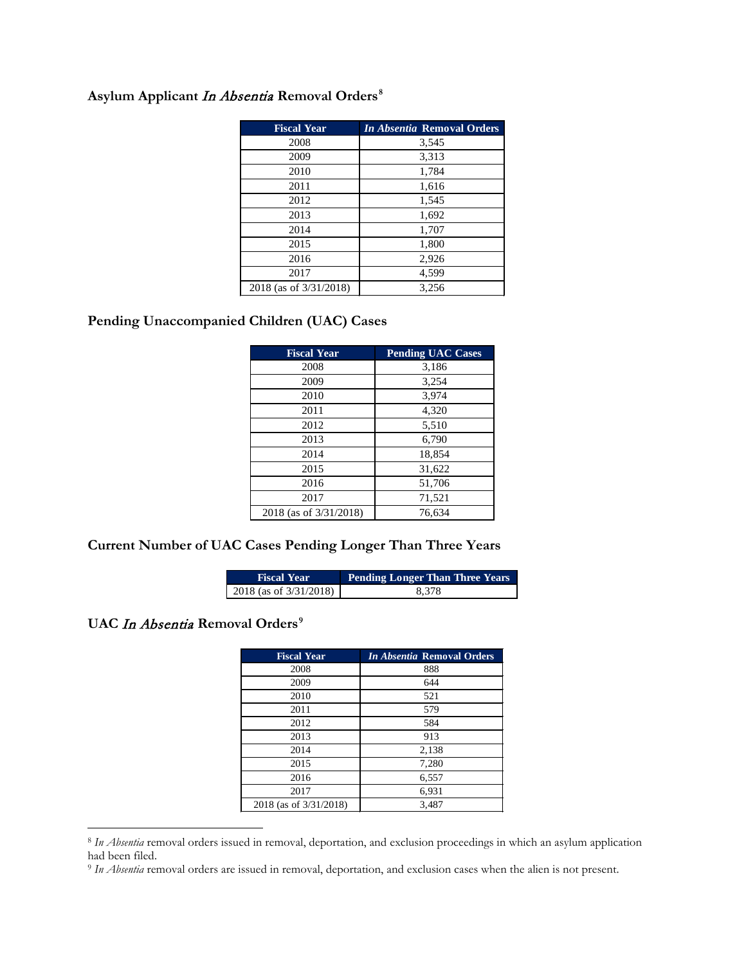# **Asylum Applicant** In Absentia **Removal Orders[8](#page-2-0)**

| <b>Fiscal Year</b>     | <i>In Absentia Removal Orders</i> |
|------------------------|-----------------------------------|
| 2008                   | 3,545                             |
| 2009                   | 3,313                             |
| 2010                   | 1,784                             |
| 2011                   | 1,616                             |
| 2012                   | 1,545                             |
| 2013                   | 1,692                             |
| 2014                   | 1,707                             |
| 2015                   | 1,800                             |
| 2016                   | 2,926                             |
| 2017                   | 4,599                             |
| 2018 (as of 3/31/2018) | 3.256                             |

## **Pending Unaccompanied Children (UAC) Cases**

| <b>Fiscal Year</b>     | <b>Pending UAC Cases</b> |
|------------------------|--------------------------|
| 2008                   | 3,186                    |
| 2009                   | 3.254                    |
| 2010                   | 3.974                    |
| 2011                   | 4,320                    |
| 2012                   | 5,510                    |
| 2013                   | 6,790                    |
| 2014                   | 18,854                   |
| 2015                   | 31,622                   |
| 2016                   | 51,706                   |
| 2017                   | 71,521                   |
| 2018 (as of 3/31/2018) | 76,634                   |

#### **Current Number of UAC Cases Pending Longer Than Three Years**

| <b>Fiscal Year</b>     | <b>Pending Longer Than Three Years</b> |
|------------------------|----------------------------------------|
| 2018 (as of 3/31/2018) | 8.378                                  |

# **UAC** In Absentia **Removal Orders[9](#page-2-1)**

 $\overline{a}$ 

| <b>Fiscal Year</b>     | <i>In Absentia Removal Orders</i> |
|------------------------|-----------------------------------|
| 2008                   | 888                               |
| 2009                   | 644                               |
| 2010                   | 521                               |
| 2011                   | 579                               |
| 2012                   | 584                               |
| 2013                   | 913                               |
| 2014                   | 2,138                             |
| 2015                   | 7,280                             |
| 2016                   | 6,557                             |
| 2017                   | 6,931                             |
| 2018 (as of 3/31/2018) | 3,487                             |

<span id="page-2-0"></span><sup>8</sup>*In Absentia* removal orders issued in removal, deportation, and exclusion proceedings in which an asylum application had been filed.

<span id="page-2-1"></span> 9 *In Absentia* removal orders are issued in removal, deportation, and exclusion cases when the alien is not present.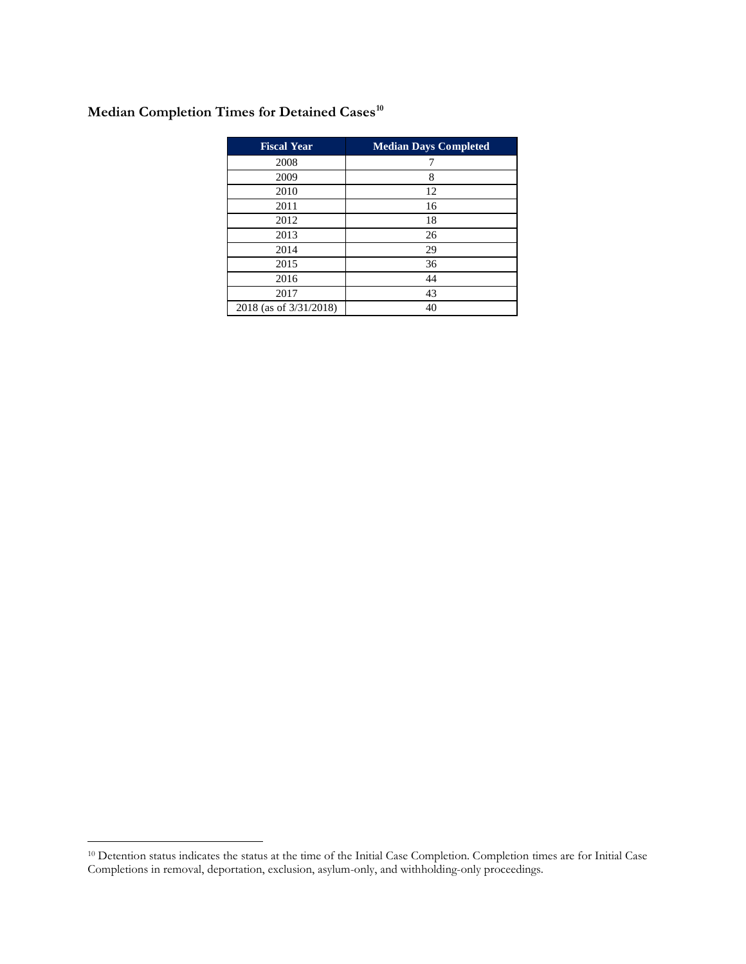# **Median Completion Times for Detained Cases[10](#page-3-0)**

| <b>Fiscal Year</b>     | <b>Median Days Completed</b> |
|------------------------|------------------------------|
| 2008                   | 7                            |
| 2009                   | 8                            |
| 2010                   | 12                           |
| 2011                   | 16                           |
| 2012                   | 18                           |
| 2013                   | 26                           |
| 2014                   | 29                           |
| 2015                   | 36                           |
| 2016                   | 44                           |
| 2017                   | 43                           |
| 2018 (as of 3/31/2018) | 40                           |

 $\overline{a}$ 

<span id="page-3-0"></span><sup>&</sup>lt;sup>10</sup> Detention status indicates the status at the time of the Initial Case Completion. Completion times are for Initial Case Completions in removal, deportation, exclusion, asylum-only, and withholding-only proceedings.